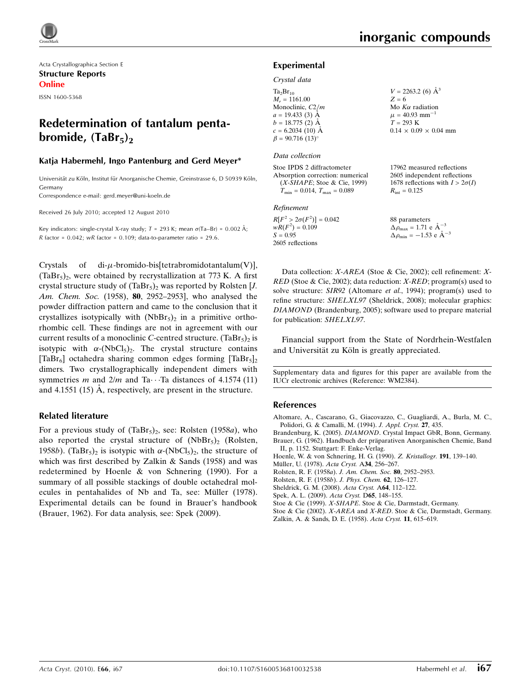Acta Crystallographica Section E Structure Reports Online ISSN 1600-5368

# Redetermination of tantalum pentabromide,  $(TaBr_5)_2$

### Katja Habermehl, Ingo Pantenburg and Gerd Meyer\*

Universität zu Köln, Institut für Anorganische Chemie, Greinstrasse 6, D 50939 Köln, Germany

Correspondence e-mail: gerd.meyer@uni-koeln.de

Received 26 July 2010; accepted 12 August 2010

Key indicators: single-crystal X-ray study;  $T$  = 293 K; mean  $\sigma$ (Ta–Br) = 0.002 Å; R factor =  $0.042$ ; wR factor =  $0.109$ ; data-to-parameter ratio =  $29.6$ .

Crystals of di- $\mu$ -bromido-bis[tetrabromidotantalum(V)],  $(TaBr_5)$ <sub>2</sub>, were obtained by recrystallization at 773 K. A first crystal structure study of  $(TaBr_5)$ <sub>2</sub> was reported by Rolsten [*J*. Am. Chem. Soc. (1958), **80**, 2952–2953], who analysed the powder diffraction pattern and came to the conclusion that it crystallizes isotypically with  $(NbBr_5)_2$  in a primitive orthorhombic cell. These findings are not in agreement with our current results of a monoclinic C-centred structure.  $(TaBr_5)_2$  is isotypic with  $\alpha$ -(NbCl<sub>5</sub>)<sub>2</sub>. The crystal structure contains [TaBr<sub>6</sub>] octahedra sharing common edges forming [TaBr<sub>5</sub>]<sub>2</sub> dimers. Two crystallographically independent dimers with symmetries m and  $2/m$  and Ta $\cdots$ Ta distances of 4.1574 (11) and 4.1551 (15)  $\AA$ , respectively, are present in the structure.

## Related literature

For a previous study of  $(TaBr_5)_2$ , see: Rolsten (1958a), who also reported the crystal structure of  $(NbBr_5)_2$  (Rolsten, 1958b). (TaBr<sub>5</sub>)<sub>2</sub> is isotypic with  $\alpha$ -(NbCl<sub>5</sub>)<sub>2</sub>, the structure of which was first described by Zalkin & Sands (1958) and was redetermined by Hoenle & von Schnering (1990). For a summary of all possible stackings of double octahedral molecules in pentahalides of Nb and Ta, see: Müller (1978). Experimental details can be found in Brauer's handbook (Brauer, 1962). For data analysis, see: Spek (2009).

### Experimental

#### Crystal data

| $Ta_2Br_{10}$                      | $V = 2263.2$ (6) $\AA^3$          |
|------------------------------------|-----------------------------------|
| $M_r = 1161.00$                    | $Z = 6$                           |
| Monoclinic, C2/m                   | Mo $K\alpha$ radiation            |
| $a = 19.433(3)$ Å                  | $\mu = 40.93$ mm <sup>-1</sup>    |
| $b = 18.775$ (2) Å                 | $T = 293 \text{ K}$               |
| $c = 6.2034(10)$ Å                 | $0.14 \times 0.09 \times 0.04$ mm |
| $\beta$ = 90.716 (13) <sup>o</sup> |                                   |
|                                    |                                   |

#### Data collection

Stoe IPDS 2 diffractometer Absorption correction: numerical (X-SHAPE; Stoe & Cie, 1999)  $T_{\text{min}} = 0.014, T_{\text{max}} = 0.089$ 

#### Refinement

 $R[F^2 > 2\sigma(F^2)] = 0.042$  $wR(F^2) = 0.109$  $S = 0.95$ 2605 reflections

88 parameters  $\Delta \rho_{\text{max}} = 1.71 \text{ e } \text{\AA}_{\text{s}}^{-3}$  $\Delta \rho_{\text{min}} = -1.53 \text{ e } \text{\AA}^{-3}$ 

 $R_{\text{int}} = 0.125$ 

17962 measured reflections 2605 independent reflections 1678 reflections with  $I > 2\sigma(I)$ 

Data collection: X-AREA (Stoe & Cie, 2002); cell refinement: X-RED (Stoe & Cie, 2002); data reduction: X-RED; program(s) used to solve structure: SIR92 (Altomare et al., 1994); program(s) used to refine structure: SHELXL97 (Sheldrick, 2008); molecular graphics: DIAMOND (Brandenburg, 2005); software used to prepare material for publication: SHELXL97.

Financial support from the State of Nordrhein-Westfalen and Universität zu Köln is greatly appreciated.

Supplementary data and figures for this paper are available from the IUCr electronic archives (Reference: WM2384).

### References

[Altomare, A., Cascarano, G., Giacovazzo, C., Guagliardi, A., Burla, M. C.,](https://scripts.iucr.org/cgi-bin/cr.cgi?rm=pdfbb&cnor=wm2384&bbid=BB1) [Polidori, G. & Camalli, M. \(1994\).](https://scripts.iucr.org/cgi-bin/cr.cgi?rm=pdfbb&cnor=wm2384&bbid=BB1) J. Appl. Cryst. 27, 435.

Brandenburg, K. (2005). DIAMOND[. Crystal Impact GbR, Bonn, Germany.](https://scripts.iucr.org/cgi-bin/cr.cgi?rm=pdfbb&cnor=wm2384&bbid=BB2) Brauer, G. (1962). Handbuch der präparativen Anorganischen Chemie, Band [II, p. 1152. Stuttgart: F. Enke-Verlag.](https://scripts.iucr.org/cgi-bin/cr.cgi?rm=pdfbb&cnor=wm2384&bbid=BB3)

[Hoenle, W. & von Schnering, H. G. \(1990\).](https://scripts.iucr.org/cgi-bin/cr.cgi?rm=pdfbb&cnor=wm2384&bbid=BB4) Z. Kristallogr. 191, 139–140.

Müller, U. (1978). Acta Cryst. A34, 256-267.

- [Rolsten, R. F. \(1958](https://scripts.iucr.org/cgi-bin/cr.cgi?rm=pdfbb&cnor=wm2384&bbid=BB6)a). J. Am. Chem. Soc. 80, 2952–2953.
- [Rolsten, R. F. \(1958](https://scripts.iucr.org/cgi-bin/cr.cgi?rm=pdfbb&cnor=wm2384&bbid=BB7)b). J. Phys. Chem. 62, 126–127.
- [Sheldrick, G. M. \(2008\).](https://scripts.iucr.org/cgi-bin/cr.cgi?rm=pdfbb&cnor=wm2384&bbid=BB8) Acta Cryst. A64, 112–122.
- [Spek, A. L. \(2009\).](https://scripts.iucr.org/cgi-bin/cr.cgi?rm=pdfbb&cnor=wm2384&bbid=BB9) Acta Cryst. D65, 148–155.
- Stoe & Cie (1999). X-SHAPE[. Stoe & Cie, Darmstadt, Germany.](https://scripts.iucr.org/cgi-bin/cr.cgi?rm=pdfbb&cnor=wm2384&bbid=BB10)
- Stoe & Cie (2002). X-AREA and X-RED[. Stoe & Cie, Darmstadt, Germany.](https://scripts.iucr.org/cgi-bin/cr.cgi?rm=pdfbb&cnor=wm2384&bbid=BB11) [Zalkin, A. & Sands, D. E. \(1958\).](https://scripts.iucr.org/cgi-bin/cr.cgi?rm=pdfbb&cnor=wm2384&bbid=BB12) Acta Cryst. 11, 615–619.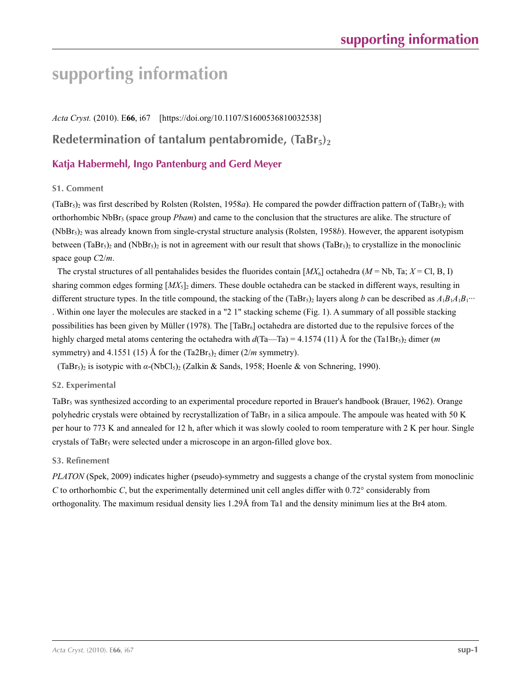# **supporting information**

*Acta Cryst.* (2010). E**66**, i67 [https://doi.org/10.1107/S1600536810032538]

# **Redetermination of tantalum pentabromide, (TaBr<sub>5</sub>)**<sup>2</sup>

# **Katja Habermehl, Ingo Pantenburg and Gerd Meyer**

## **S1. Comment**

 $(TaBr_5)_2$  was first described by Rolsten (Rolsten, 1958*a*). He compared the powder diffraction pattern of  $(TaBr_5)_2$  with orthorhombic NbBr5 (space group *Pbam*) and came to the conclusion that the structures are alike. The structure of  $(NbBr_5)$ <sub>2</sub> was already known from single-crystal structure analysis (Rolsten, 1958*b*). However, the apparent isotypism between (TaBr<sub>5</sub>)<sub>2</sub> and (NbBr<sub>5</sub>)<sub>2</sub> is not in agreement with our result that shows (TaBr<sub>5</sub>)<sub>2</sub> to crystallize in the monoclinic space goup *C*2/*m*.

The crystal structures of all pentahalides besides the fluorides contain  $[MX_6]$  octahedra  $(M = Nb, Ta; X = Cl, B, I)$ sharing common edges forming  $[MX_5]_2$  dimers. These double octahedra can be stacked in different ways, resulting in different structure types. In the title compound, the stacking of the (TaBr<sub>5</sub>)<sub>2</sub> layers along *b* can be described as  $A_1B_1A_1B_1\cdots$ . Within one layer the molecules are stacked in a "2 1" stacking scheme (Fig. 1). A summary of all possible stacking possibilities has been given by Müller (1978). The  $[TaBr<sub>6</sub>]$  octahedra are distorted due to the repulsive forces of the highly charged metal atoms centering the octahedra with  $d(Ta$ —Ta) = 4.1574 (11) Å for the (Ta1Br<sub>5</sub>)<sub>2</sub> dimer (*m* symmetry) and 4.1551 (15) Å for the  $(Ta2Br_5)_2$  dimer  $(2/m$  symmetry).

(TaBr<sub>5</sub>)<sub>2</sub> is isotypic with *α*-(NbCl<sub>5</sub>)<sub>2</sub> (Zalkin & Sands, 1958; Hoenle & von Schnering, 1990).

## **S2. Experimental**

TaBr<sub>5</sub> was synthesized according to an experimental procedure reported in Brauer's handbook (Brauer, 1962). Orange polyhedric crystals were obtained by recrystallization of TaBr<sub>5</sub> in a silica ampoule. The ampoule was heated with 50 K per hour to 773 K and annealed for 12 h, after which it was slowly cooled to room temperature with 2 K per hour. Single crystals of TaBr<sub>5</sub> were selected under a microscope in an argon-filled glove box.

## **S3. Refinement**

*PLATON* (Spek, 2009) indicates higher (pseudo)-symmetry and suggests a change of the crystal system from monoclinic *C* to orthorhombic *C*, but the experimentally determined unit cell angles differ with 0.72° considerably from orthogonality. The maximum residual density lies 1.29Å from Ta1 and the density minimum lies at the Br4 atom.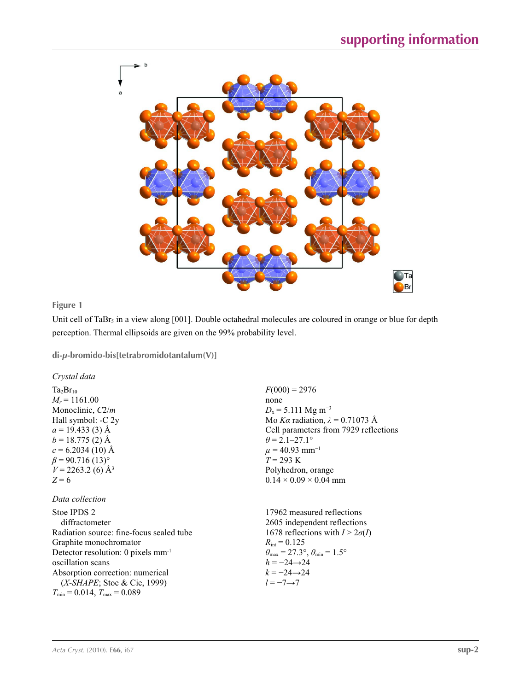

**Figure 1**

Unit cell of TaBr<sub>5</sub> in a view along [001]. Double octahedral molecules are coloured in orange or blue for depth perception. Thermal ellipsoids are given on the 99% probability level.

 $F(000) = 2976$ 

 $\theta$  = 2.1–27.1°  $\mu$  = 40.93 mm<sup>-1</sup>  $T = 293 \text{ K}$ 

 $D_x = 5.111$  Mg m<sup>-3</sup>

Polyhedron, orange  $0.14 \times 0.09 \times 0.04$  mm

Mo *Kα* radiation, *λ* = 0.71073 Å Cell parameters from 7929 reflections

none

**di-***µ***-bromido-bis[tetrabromidotantalum(V)]** 

*Crystal data*

 $Ta_2Br_{10}$  $M_r = 1161.00$ Monoclinic, *C*2/*m* Hall symbol: -C 2y  $a = 19.433(3)$  Å  $b = 18.775$  (2) Å  $c = 6.2034(10)$  Å  $\beta$  = 90.716 (13)<sup>o</sup>  $V = 2263.2$  (6) Å<sup>3</sup> *Z* = 6

## *Data collection*

| Stoe IPDS 2                                    | 17962 measured reflections                                              |
|------------------------------------------------|-------------------------------------------------------------------------|
| diffractometer                                 | 2605 independent reflections                                            |
| Radiation source: fine-focus sealed tube       | 1678 reflections with $I > 2\sigma(I)$                                  |
| Graphite monochromator                         | $R_{\text{int}} = 0.125$                                                |
| Detector resolution: 0 pixels mm <sup>-1</sup> | $\theta_{\text{max}} = 27.3^{\circ}, \theta_{\text{min}} = 1.5^{\circ}$ |
| oscillation scans                              | $h = -24 \rightarrow 24$                                                |
| Absorption correction: numerical               | $k = -24 \rightarrow 24$                                                |
| $(X-SHAPE;$ Stoe & Cie, 1999)                  | $l = -7 \rightarrow 7$                                                  |
| $T_{\min}$ = 0.014, $T_{\max}$ = 0.089         |                                                                         |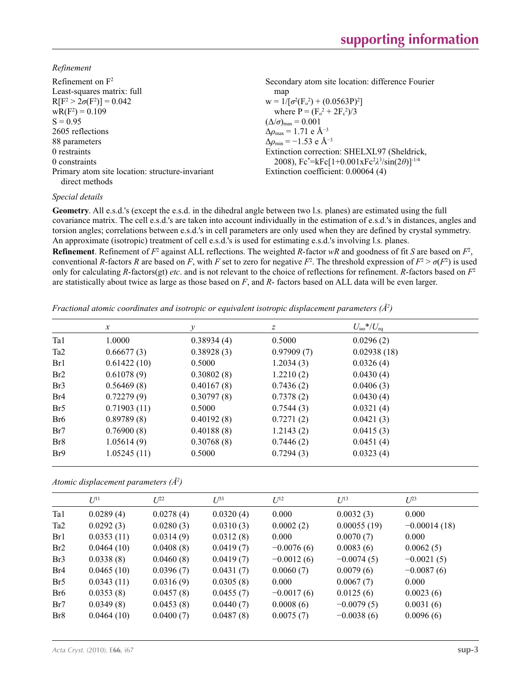*Refinement*

| Refinement on $F^2$                             | Secondary atom site location: difference Fourier               |
|-------------------------------------------------|----------------------------------------------------------------|
| Least-squares matrix: full                      | map                                                            |
| $R[F^2 > 2\sigma(F^2)] = 0.042$                 | $W = 1/[\sigma^2(F_0^2) + (0.0563P)^2]$                        |
| $wR(F^2) = 0.109$                               | where $P = (F_o^2 + 2F_c^2)/3$                                 |
| $S = 0.95$                                      | $(\Delta/\sigma)_{\text{max}} = 0.001$                         |
| 2605 reflections                                | $\Delta \rho_{\rm max} = 1.71$ e Å <sup>-3</sup>               |
| 88 parameters                                   | $\Delta \rho_{\rm min} = -1.53$ e Å <sup>-3</sup>              |
| 0 restraints                                    | Extinction correction: SHELXL97 (Sheldrick,                    |
| 0 constraints                                   | 2008), $Fc^* = kFc[1+0.001xFc^2\lambda^3/sin(2\theta)]^{-1/4}$ |
| Primary atom site location: structure-invariant | Extinction coefficient: 0.00064 (4)                            |
| direct methods                                  |                                                                |

## *Special details*

**Geometry**. All e.s.d.'s (except the e.s.d. in the dihedral angle between two l.s. planes) are estimated using the full covariance matrix. The cell e.s.d.'s are taken into account individually in the estimation of e.s.d.'s in distances, angles and torsion angles; correlations between e.s.d.'s in cell parameters are only used when they are defined by crystal symmetry. An approximate (isotropic) treatment of cell e.s.d.'s is used for estimating e.s.d.'s involving l.s. planes.

**Refinement**. Refinement of  $F^2$  against ALL reflections. The weighted R-factor wR and goodness of fit *S* are based on  $F^2$ , conventional *R*-factors *R* are based on *F*, with *F* set to zero for negative  $F^2$ . The threshold expression of  $F^2 > \sigma(F^2)$  is used only for calculating *R*-factors(gt) *etc*. and is not relevant to the choice of reflections for refinement. *R*-factors based on *F*<sup>2</sup> are statistically about twice as large as those based on *F*, and *R*- factors based on ALL data will be even larger.

*Fractional atomic coordinates and isotropic or equivalent isotropic displacement parameters (Å2 )*

|                 | $\mathcal{X}$ | $\mathcal{Y}$ | z          | $U_{\rm iso} * / U_{\rm eq}$ |  |
|-----------------|---------------|---------------|------------|------------------------------|--|
| Ta1             | 1.0000        | 0.38934(4)    | 0.5000     | 0.0296(2)                    |  |
| Ta <sub>2</sub> | 0.66677(3)    | 0.38928(3)    | 0.97909(7) | 0.02938(18)                  |  |
| Br1             | 0.61422(10)   | 0.5000        | 1.2034(3)  | 0.0326(4)                    |  |
| Br2             | 0.61078(9)    | 0.30802(8)    | 1.2210(2)  | 0.0430(4)                    |  |
| Br <sub>3</sub> | 0.56469(8)    | 0.40167(8)    | 0.7436(2)  | 0.0406(3)                    |  |
| Br <sub>4</sub> | 0.72279(9)    | 0.30797(8)    | 0.7378(2)  | 0.0430(4)                    |  |
| Br <sub>5</sub> | 0.71903(11)   | 0.5000        | 0.7544(3)  | 0.0321(4)                    |  |
| Br <sub>6</sub> | 0.89789(8)    | 0.40192(8)    | 0.7271(2)  | 0.0421(3)                    |  |
| Br7             | 0.76900(8)    | 0.40188(8)    | 1.2143(2)  | 0.0415(3)                    |  |
| Br <sub>8</sub> | 1.05614(9)    | 0.30768(8)    | 0.7446(2)  | 0.0451(4)                    |  |
| Br <sup>9</sup> | 1.05245(11)   | 0.5000        | 0.7294(3)  | 0.0323(4)                    |  |

*Atomic displacement parameters (Å2 )*

|                 | $U^{11}$   | $L^{22}$  | $U^{33}$  | $U^{12}$     | $U^{13}$     | $L^{23}$       |
|-----------------|------------|-----------|-----------|--------------|--------------|----------------|
| Ta1             | 0.0289(4)  | 0.0278(4) | 0.0320(4) | 0.000        | 0.0032(3)    | 0.000          |
| Ta <sub>2</sub> | 0.0292(3)  | 0.0280(3) | 0.0310(3) | 0.0002(2)    | 0.00055(19)  | $-0.00014(18)$ |
| Br1             | 0.0353(11) | 0.0314(9) | 0.0312(8) | 0.000        | 0.0070(7)    | 0.000          |
| Br2             | 0.0464(10) | 0.0408(8) | 0.0419(7) | $-0.0076(6)$ | 0.0083(6)    | 0.0062(5)      |
| Br <sub>3</sub> | 0.0338(8)  | 0.0460(8) | 0.0419(7) | $-0.0012(6)$ | $-0.0074(5)$ | $-0.0021(5)$   |
| Br <sub>4</sub> | 0.0465(10) | 0.0396(7) | 0.0431(7) | 0.0060(7)    | 0.0079(6)    | $-0.0087(6)$   |
| Br <sub>5</sub> | 0.0343(11) | 0.0316(9) | 0.0305(8) | 0.000        | 0.0067(7)    | 0.000          |
| Br <sub>6</sub> | 0.0353(8)  | 0.0457(8) | 0.0455(7) | $-0.0017(6)$ | 0.0125(6)    | 0.0023(6)      |
| Br7             | 0.0349(8)  | 0.0453(8) | 0.0440(7) | 0.0008(6)    | $-0.0079(5)$ | 0.0031(6)      |
| Br <sub>8</sub> | 0.0464(10) | 0.0400(7) | 0.0487(8) | 0.0075(7)    | $-0.0038(6)$ | 0.0096(6)      |
|                 |            |           |           |              |              |                |